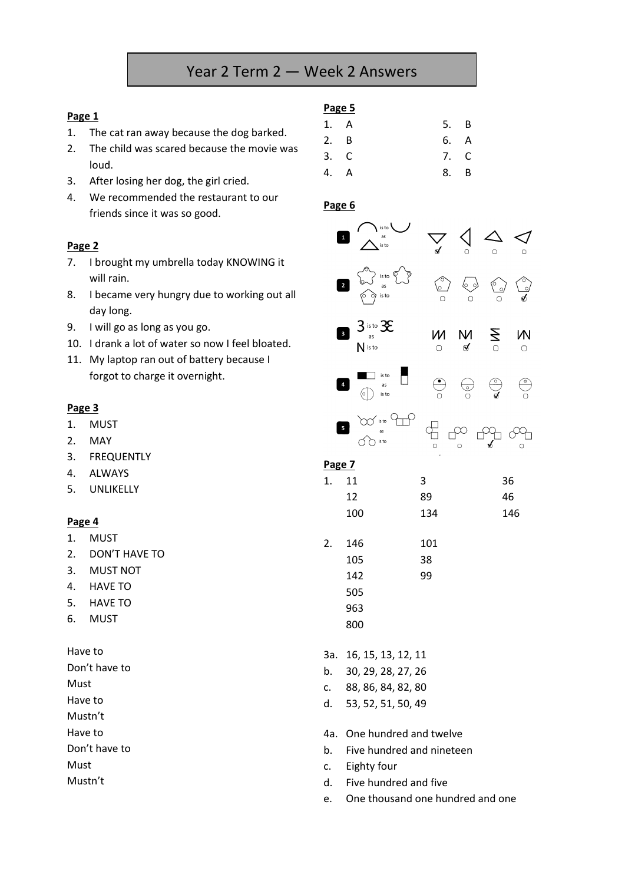# Year 2 Term 2 — Week 2 Answers

#### **Page 1**

- 1. The cat ran away because the dog barked.
- 2. The child was scared because the movie was loud.
- 3. After losing her dog, the girl cried.
- 4. We recommended the restaurant to our friends since it was so good.

#### **Page 2**

- 7. I brought my umbrella today KNOWING it will rain.
- 8. I became very hungry due to working out all day long.
- 9. I will go as long as you go.
- 10. I drank a lot of water so now I feel bloated.
- 11. My laptop ran out of battery because I forgot to charge it overnight.

#### **Page 3**

- 1. MUST
- 2. MAY
- 3. FREQUENTLY
- 4. ALWAYS
- 5. UNLIKELLY

#### **Page 4**

- 1. MUST
- 2. DON'T HAVE TO
- 3. MUST NOT
- 4. HAVE TO
- 5. HAVE TO
- 6. MUST

Have to

Don't have to Must Have to

Mustn't

Have to

Don't have to

Must

Mustn't

**Page 5** 1. A 5. B 2. B 6. A 3. C 7. C 4. A 8. B

#### **Page 6**



| 2. | 146 | 101 |
|----|-----|-----|
|    | 105 | 38  |
|    | 142 | 99  |
|    | 505 |     |
|    | 963 |     |
|    | 800 |     |

3a. 16, 15, 13, 12, 11

- b. 30, 29, 28, 27, 26
- c. 88, 86, 84, 82, 80
- d. 53, 52, 51, 50, 49

#### 4a. One hundred and twelve

- b. Five hundred and nineteen
- c. Eighty four
- d. Five hundred and five
- e. One thousand one hundred and one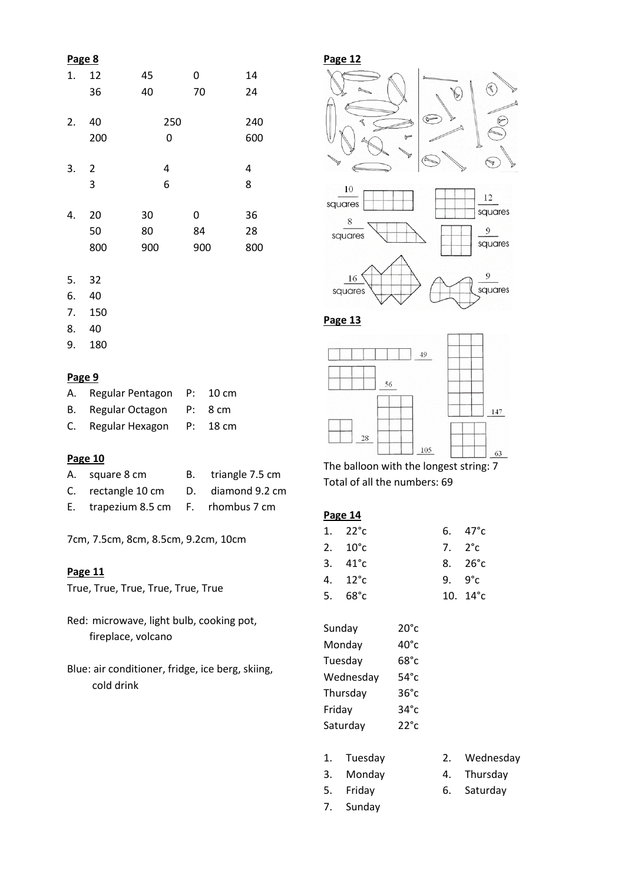# **Page 8** 1. 12 45 0 14 36 40 70 24 2. 40 250 240 200 0 600 3. 2 4 4 3 6 8 4. 20 30 0 36 50 80 84 28 800 900 900 800

- 5. 32
- 6. 40
- 7. 150
- 8. 40
- 9. 180

#### **Page 9**

| A. | Regular Pentagon P: 10 cm |          |
|----|---------------------------|----------|
|    | B. Regular Octagon        | P: 8 cm  |
|    | C. Regular Hexagon        | P: 18 cm |

# **Page 10**

| A. square 8 cm                       | B. triangle 7.5 cm |
|--------------------------------------|--------------------|
| C. rectangle 10 cm D. diamond 9.2 cm |                    |
| E. trapezium 8.5 cm F. rhombus 7 cm  |                    |

7cm, 7.5cm, 8cm, 8.5cm, 9.2cm, 10cm

# **Page 11**

True, True, True, True, True, True

- Red: microwave, light bulb, cooking pot, fireplace, volcano
- Blue: air conditioner, fridge, ice berg, skiing, cold drink

# **Page 12**



**Page 13**



The balloon with the longest string: 7 Total of all the numbers: 69

|--|

| 1. $22^{\circ}c$  | 6. $47^{\circ}$ c |
|-------------------|-------------------|
| 2. $10^{\circ}$ c | 7. $2^{\circ}$ c  |
| 3. $41^{\circ}c$  | 8. $26^{\circ}c$  |
| 4. 12°c           | 9. $9^{\circ}c$   |
| 5. 68°c           | 10. $14^{\circ}c$ |

| Sunday    | $20^{\circ}c$  |
|-----------|----------------|
| Monday    | 40°c           |
| Tuesday   | 68°c           |
| Wednesday | $54^{\circ}$ c |
| Thursday  | 36°c           |
| Friday    | $34^\circ c$   |
| Saturday  | $22^{\circ}$ c |

| 1. | Tuesday |  | Wednesday |
|----|---------|--|-----------|
|----|---------|--|-----------|

- 
- 3. Monday 4. Thursday
	-
- 7. Sunday
- 5. Friday 6. Saturday
	-